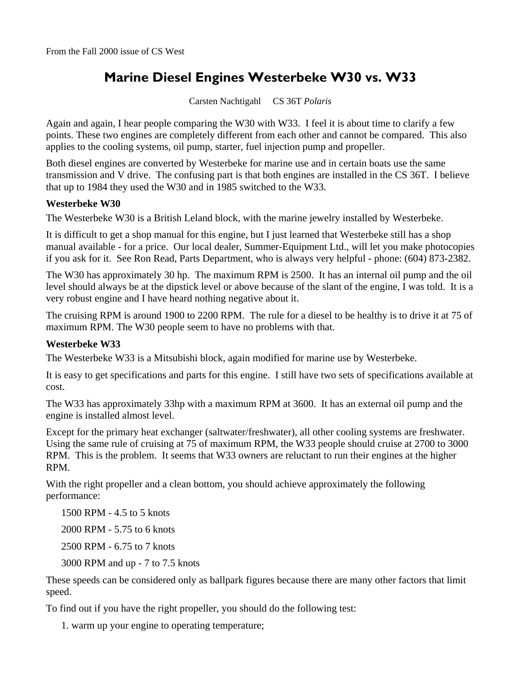## **Marine Diesel Engines Westerbeke W30 vs. W33**

Carsten Nachtigahl CS 36T *Polaris* 

Again and again, I hear people comparing the W30 with W33. I feel it is about time to clarify a few points. These two engines are completely different from each other and cannot be compared. This also applies to the cooling systems, oil pump, starter, fuel injection pump and propeller.

Both diesel engines are converted by Westerbeke for marine use and in certain boats use the same transmission and V drive. The confusing part is that both engines are installed in the CS 36T. I believe that up to 1984 they used the W30 and in 1985 switched to the W33.

## **Westerbeke W30**

The Westerbeke W30 is a British Leland block, with the marine jewelry installed by Westerbeke.

It is difficult to get a shop manual for this engine, but I just learned that Westerbeke still has a shop manual available - for a price. Our local dealer, Summer-Equipment Ltd., will let you make photocopies if you ask for it. See Ron Read, Parts Department, who is always very helpful - phone: (604) 873-2382.

The W30 has approximately 30 hp. The maximum RPM is 2500. It has an internal oil pump and the oil level should always be at the dipstick level or above because of the slant of the engine, I was told. It is a very robust engine and I have heard nothing negative about it.

The cruising RPM is around 1900 to 2200 RPM. The rule for a diesel to be healthy is to drive it at 75 of maximum RPM. The W30 people seem to have no problems with that.

## **Westerbeke W33**

The Westerbeke W33 is a Mitsubishi block, again modified for marine use by Westerbeke.

It is easy to get specifications and parts for this engine. I still have two sets of specifications available at cost.

The W33 has approximately 33hp with a maximum RPM at 3600. It has an external oil pump and the engine is installed almost level.

Except for the primary heat exchanger (saltwater/freshwater), all other cooling systems are freshwater. Using the same rule of cruising at 75 of maximum RPM, the W33 people should cruise at 2700 to 3000 RPM. This is the problem. It seems that W33 owners are reluctant to run their engines at the higher RPM.

With the right propeller and a clean bottom, you should achieve approximately the following performance:

1500 RPM - 4.5 to 5 knots

2000 RPM - 5.75 to 6 knots

2500 RPM - 6.75 to 7 knots

3000 RPM and up - 7 to 7.5 knots

These speeds can be considered only as ballpark figures because there are many other factors that limit speed.

To find out if you have the right propeller, you should do the following test:

1. warm up your engine to operating temperature;